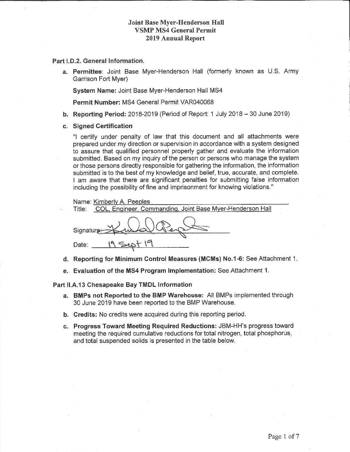#### **Joint Base Myer-Henderson Hall VSMP MS4 General Permit 2019 Annual Report**

#### Part I.D.2. General Information.

a. Permittee: Joint Base Myer-Henderson Hall (formerly known as U.S. Army Garrison Fort Myer)

System Name: Joint Base Myer-Henderson Hall MS4

Permit Number: MS4 General Permit VAR040068

- b. Reporting Period:  $2018-2019$  (Period of Report: 1 July 2018 30 June 2019)
- c. Signed Certification

"I certify under penalty of law that this document and all attachments were prepared under my direction or supervision in accordance with a system designed to assure that qualified personnel properly gather and evaluate the information submitted. Based on my inquiry of the person or persons who manage the system or those persons directly responsible for gathering the information, the information submitted is to the best of my knowledge and belief, true, accurate, and complete. I am aware that there are significant penalties for submitting false information including the possibility of fine and imprisonment for knowing violations."

Name: Kimberly A. Peeples

Title: COL, Engineer, Commanding, Joint Base Myer-Henderson Hall

Signature: 19 Sept 19 Date:

- d. Reporting for Minimum Control Measures (MCMs) No.1-6: See Attachment 1.
- e. Evaluation of the MS4 Program Implementation: See Attachment 1.

#### Part II.A.13 Chesapeake Bay TMDL Information

- a. BMPs not Reported to the BMP Warehouse: All BMPs implemented through 30 June 2019 have been reported to the BMP Warehouse.
- **b.** Credits: No credits were acquired during this reporting period.
- c. Progress Toward Meeting Required Reductions: JBM-HH's progress toward meeting the required cumulative reductions for total nitrogen, total phosphorus, and total suspended solids is presented in the table below.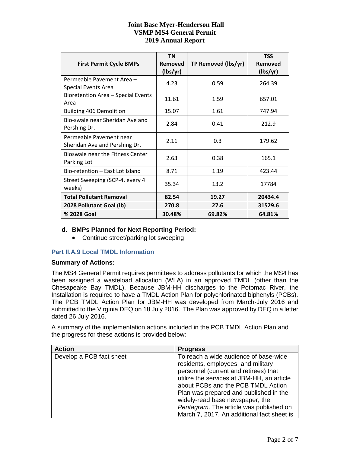### **Joint Base Myer-Henderson Hall VSMP MS4 General Permit 2019 Annual Report**

| <b>First Permit Cycle BMPs</b>                           | <b>TN</b><br><b>Removed</b><br>(lbs/yr) | TP Removed (lbs/yr) | <b>TSS</b><br>Removed<br>(lbs/yr) |
|----------------------------------------------------------|-----------------------------------------|---------------------|-----------------------------------|
| Permeable Pavement Area -<br><b>Special Events Area</b>  | 4.23                                    | 0.59                | 264.39                            |
| Bioretention Area - Special Events<br>Area               | 11.61                                   | 1.59                | 657.01                            |
| <b>Building 406 Demolition</b>                           | 15.07                                   | 1.61                | 747.94                            |
| Bio-swale near Sheridan Ave and<br>Pershing Dr.          | 2.84                                    | 0.41                | 212.9                             |
| Permeable Pavement near<br>Sheridan Ave and Pershing Dr. | 2.11                                    | 0.3                 | 179.62                            |
| Bioswale near the Fitness Center<br>Parking Lot          | 2.63                                    | 0.38                | 165.1                             |
| Bio-retention – East Lot Island                          | 8.71                                    | 1.19                | 423.44                            |
| Street Sweeping (SCP-4, every 4<br>weeks)                | 35.34                                   | 13.2                | 17784                             |
| <b>Total Pollutant Removal</b>                           | 82.54                                   | 19.27               | 20434.4                           |
| 2028 Pollutant Goal (lb)                                 | 270.8                                   | 27.6                | 31529.6                           |
| % 2028 Goal                                              | 30.48%                                  | 69.82%              | 64.81%                            |

### **d. BMPs Planned for Next Reporting Period:**

• Continue street/parking lot sweeping

### **Part II.A.9 Local TMDL Information**

#### **Summary of Actions:**

The MS4 General Permit requires permittees to address pollutants for which the MS4 has been assigned a wasteload allocation (WLA) in an approved TMDL (other than the Chesapeake Bay TMDL). Because JBM-HH discharges to the Potomac River, the Installation is required to have a TMDL Action Plan for polychlorinated biphenyls (PCBs). The PCB TMDL Action Plan for JBM-HH was developed from March-July 2016 and submitted to the Virginia DEQ on 18 July 2016. The Plan was approved by DEQ in a letter dated 26 July 2016.

A summary of the implementation actions included in the PCB TMDL Action Plan and the progress for these actions is provided below:

| <b>Action</b>            | <b>Progress</b>                            |
|--------------------------|--------------------------------------------|
| Develop a PCB fact sheet | To reach a wide audience of base-wide      |
|                          | residents, employees, and military         |
|                          | personnel (current and retirees) that      |
|                          | utilize the services at JBM-HH, an article |
|                          | about PCBs and the PCB TMDL Action         |
|                          | Plan was prepared and published in the     |
|                          | widely-read base newspaper, the            |
|                          | Pentagram. The article was published on    |
|                          | March 7, 2017. An additional fact sheet is |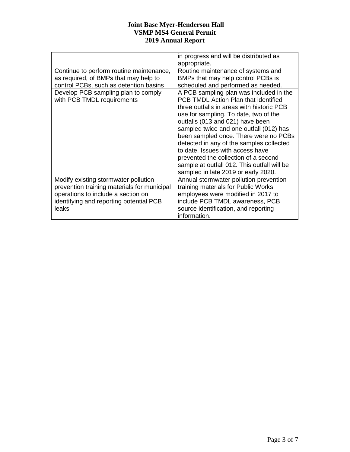### **Joint Base Myer-Henderson Hall VSMP MS4 General Permit 2019 Annual Report**

|                                                                                                                                                                               | in progress and will be distributed as<br>appropriate.                                                                                                                                                                                                                                                                                                                                                                                                                                                      |
|-------------------------------------------------------------------------------------------------------------------------------------------------------------------------------|-------------------------------------------------------------------------------------------------------------------------------------------------------------------------------------------------------------------------------------------------------------------------------------------------------------------------------------------------------------------------------------------------------------------------------------------------------------------------------------------------------------|
| Continue to perform routine maintenance,<br>as required, of BMPs that may help to<br>control PCBs, such as detention basins                                                   | Routine maintenance of systems and<br>BMPs that may help control PCBs is<br>scheduled and performed as needed.                                                                                                                                                                                                                                                                                                                                                                                              |
| Develop PCB sampling plan to comply<br>with PCB TMDL requirements                                                                                                             | A PCB sampling plan was included in the<br>PCB TMDL Action Plan that identified<br>three outfalls in areas with historic PCB<br>use for sampling. To date, two of the<br>outfalls (013 and 021) have been<br>sampled twice and one outfall (012) has<br>been sampled once. There were no PCBs<br>detected in any of the samples collected<br>to date. Issues with access have<br>prevented the collection of a second<br>sample at outfall 012. This outfall will be<br>sampled in late 2019 or early 2020. |
| Modify existing stormwater pollution<br>prevention training materials for municipal<br>operations to include a section on<br>identifying and reporting potential PCB<br>leaks | Annual stormwater pollution prevention<br>training materials for Public Works<br>employees were modified in 2017 to<br>include PCB TMDL awareness, PCB<br>source identification, and reporting<br>information.                                                                                                                                                                                                                                                                                              |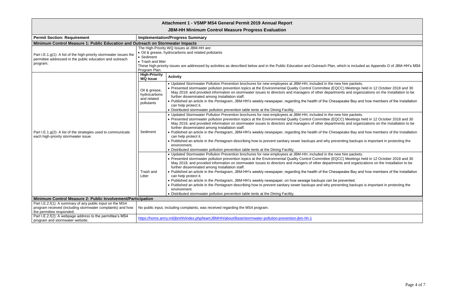**JBM-HH Minimum Control Measure Progress Evaluation**

| <b>Permit Section: Requirement</b>                                                                                                                  | <b>Implementation/Progress Summary</b>                                                                                                                                                                                                                                           |                                                                                                                                                                                                                                                                                                                                                                                                                                                                                                                                                                                                                                                                                                                                                                                                         |
|-----------------------------------------------------------------------------------------------------------------------------------------------------|----------------------------------------------------------------------------------------------------------------------------------------------------------------------------------------------------------------------------------------------------------------------------------|---------------------------------------------------------------------------------------------------------------------------------------------------------------------------------------------------------------------------------------------------------------------------------------------------------------------------------------------------------------------------------------------------------------------------------------------------------------------------------------------------------------------------------------------------------------------------------------------------------------------------------------------------------------------------------------------------------------------------------------------------------------------------------------------------------|
| Minimum Control Measure 1: Public Education and Outreach on Stormwater Impacts                                                                      |                                                                                                                                                                                                                                                                                  |                                                                                                                                                                                                                                                                                                                                                                                                                                                                                                                                                                                                                                                                                                                                                                                                         |
| Part I.E.1.g(1): A list of the high-priority stormwater issues the<br>permittee addressed in the public education and outreach<br>program;          | The High-Priority WQ Issues at JBM-HH are:<br>• Oil & grease, hydrocarbons and related pollutants<br>• Sediment<br>• Trash and litter<br>These high-priority issues are addressed by activities as described below and in the Public Education and Outreach Pla<br>Program Plan. |                                                                                                                                                                                                                                                                                                                                                                                                                                                                                                                                                                                                                                                                                                                                                                                                         |
|                                                                                                                                                     | <b>High-Priority</b><br><b>WQ Issue</b>                                                                                                                                                                                                                                          | <b>Activity</b>                                                                                                                                                                                                                                                                                                                                                                                                                                                                                                                                                                                                                                                                                                                                                                                         |
| Part I.E.1.g(2): A list of the strategies used to communicate<br>each high-priority stormwater issue.                                               | Oil & grease,<br>hydrocarbons<br>and related<br>pollutants                                                                                                                                                                                                                       | • Updated Stormwater Pollution Prevention brochures for new employees at JBM-HH, included in the<br>• Presented stormwater pollution prevention topics at the Environmental Quality Control Committee (<br>May 2019; and provided information on stormwater issues to directors and managers of other depa<br>further disseminated among Installation staff.<br>. Published an article in the Pentagram, JBM-HH's weekly newspaper, regarding the health of the Ch<br>can help protect it.<br>• Distributed stormwater pollution prevention table tents at the Dining Facility.                                                                                                                                                                                                                         |
|                                                                                                                                                     | Sediment                                                                                                                                                                                                                                                                         | • Updated Stormwater Pollution Prevention brochures for new employees at JBM-HH, included in the<br>• Presented stormwater pollution prevention topics at the Environmental Quality Control Committee (<br>May 2019, and provided information on stormwater issues to directors and managers of other depa<br>further disseminated among Installation staff.<br>• Published an article in the Pentagram, JBM-HH's weekly newspaper, regarding the health of the Ch<br>can help protect it.<br>• Published an article in the Pentagram describing how to prevent sanitary sewer backups and why p<br>environment.<br>• Distributed stormwater pollution prevention table tents at the Dining Facility.                                                                                                   |
|                                                                                                                                                     | Trash and<br>Litter                                                                                                                                                                                                                                                              | • Updated Stormwater Pollution Prevention brochures for new employees at JBM-HH, included in the<br>• Presented stormwater pollution prevention topics at the Environmental Quality Control Committee (<br>May 2019, and provided information on stormwater issues to directors and mangers of other depart<br>further disseminated among Installation staff.<br>. Published an article in the Pentagram, JBM-HH's weekly newspaper, regarding the health of the Ch<br>can help protect it.<br>• Published an article in the Pentagram, JBM-HH's weekly newspaper, on how sewage backups can<br>• Published an article in the Pentagram describing how to prevent sanitary sewer backups and why p<br>environment.<br>• Distributed stormwater pollution prevention table tents at the Dining Facility. |
| Minimum Control Measure 2: Public Involvement/Participation                                                                                         |                                                                                                                                                                                                                                                                                  |                                                                                                                                                                                                                                                                                                                                                                                                                                                                                                                                                                                                                                                                                                                                                                                                         |
| Part I.E.2.f(1): A summary of any public input on the MS4<br>program received (including stormwater complaints) and how<br>the permittee responded; |                                                                                                                                                                                                                                                                                  | No public input, including complaints, was received regarding the MS4 program.                                                                                                                                                                                                                                                                                                                                                                                                                                                                                                                                                                                                                                                                                                                          |
| Part I.E.2.f(2): A webpage address to the permittee's MS4<br>program and stormwater website;                                                        | https://home.army.mil/jbmhh/index.php/teamJBMHH/about/Base/stormwater-pollution-prevention-jbm-hh-1                                                                                                                                                                              |                                                                                                                                                                                                                                                                                                                                                                                                                                                                                                                                                                                                                                                                                                                                                                                                         |

#### an, which is included as Appendix D of JBM-HH's MS4

e new hire packets.

(EQCC) Meetings held in 12 October 2018 and 30 artments and organizations on the Installation to be

hesapeake Bay and how members of the Installation

e new hire packets. (EQCC) Meetings held in 12 October 2018 and 30 artments and organizations on the Installation to be

hesapeake Bay and how members of the Installation

*Preventing backups is important in protecting the* 

e new hire packets. (EQCC) Meetings held in 12 October 2018 and 30 tments and organizations on the Installation to be

hesapeake Bay and how members of the Installation

be prevented. **Preventing backups is important in protecting the**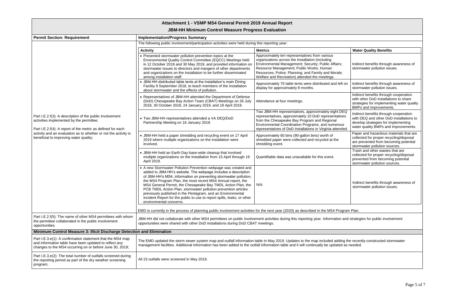# **JBM-HH Minimum Control Measure Progress Evaluation**

| <b>Permit Section: Requirement</b>                                                                                                                                                                                                                                               | <b>Implementation/Progress Summary</b>                                                                                                                                                                                                                                                                                                                                                                                                                                                                                                                                      |                                                                                                                                                                                                                                                                                                                |                                                                                                                                                                 |
|----------------------------------------------------------------------------------------------------------------------------------------------------------------------------------------------------------------------------------------------------------------------------------|-----------------------------------------------------------------------------------------------------------------------------------------------------------------------------------------------------------------------------------------------------------------------------------------------------------------------------------------------------------------------------------------------------------------------------------------------------------------------------------------------------------------------------------------------------------------------------|----------------------------------------------------------------------------------------------------------------------------------------------------------------------------------------------------------------------------------------------------------------------------------------------------------------|-----------------------------------------------------------------------------------------------------------------------------------------------------------------|
|                                                                                                                                                                                                                                                                                  | The following public involvement/participation activities were held during this reporting year:                                                                                                                                                                                                                                                                                                                                                                                                                                                                             |                                                                                                                                                                                                                                                                                                                |                                                                                                                                                                 |
|                                                                                                                                                                                                                                                                                  | <b>Activity</b>                                                                                                                                                                                                                                                                                                                                                                                                                                                                                                                                                             | <b>Metrics</b>                                                                                                                                                                                                                                                                                                 | <b>Water Quality Benefits</b>                                                                                                                                   |
| Part I.E.2.f(3): A description of the public involvement<br>activities implemented by the permittee;<br>Part I.E.2.f(4): A report of the metric as defined for each<br>activity and an evaluation as to whether or not the activity is<br>beneficial to improving water quality; | • Presented stormwater pollution prevention topics at the<br>Environmental Quality Control Committee (EQCC) Meetings held<br>in 12 October 2018 and 30 May 2019, and provided information or<br>stormwater issues to directors and mangers of other departments<br>and organizations on the Installation to be further disseminated<br>among Installation staff.                                                                                                                                                                                                            | Approximately ten representatives from various<br>organizations across the Installation (including<br>Environmental Management; Security; Public Affairs;<br>Resource Management; Public Works; Human<br>Resources; Police; Planning; and Family and Morale,<br>Welfare and Recreation) attended the meetings. | Indirect benefits through awareness of<br>stormwater pollution issues.                                                                                          |
|                                                                                                                                                                                                                                                                                  | • JBM-HH distributed table tents at the Installation's main Dining<br>Facility 9 September 2018, to teach members of the Installation<br>about stormwater and the effects of pollution.                                                                                                                                                                                                                                                                                                                                                                                     | Approximately 70 table tents were distributed and left on<br>display for approximately 8 months.                                                                                                                                                                                                               | Indirect benefits through awareness of<br>stormwater pollution issues.                                                                                          |
|                                                                                                                                                                                                                                                                                  | • Representatives of JBM-HH attended the Department of Defense<br>(DoD) Chesapeake Bay Action Team (CBAT) Meetings on 26 July<br>2018, 30 October 2018, 24 January 2019, and 18 April 2019.                                                                                                                                                                                                                                                                                                                                                                                 | Attendance at four meetings.                                                                                                                                                                                                                                                                                   | Indirect benefits through cooperation<br>with other DoD installations to share<br>strategies for implementing water quality<br>BMPs and improvements.           |
|                                                                                                                                                                                                                                                                                  | • Two JBM-HH representatives attended a VA DEQ/DoD<br>Partnership Meeting on 16 January 2019.                                                                                                                                                                                                                                                                                                                                                                                                                                                                               | Two JBM-HH representatives, approximately eight DEQ<br>representatives, approximately 10 DoD representatives<br>from the Chesapeake Bay Program and Regional<br>Environmental Coordination Programs, and numerous<br>representatives of DoD Installations in Virginia attended.                                | Indirect benefits through cooperation<br>with DEQ and other DoD installations to<br>develop strategies for implementing<br>water quality BMPs and improvements. |
|                                                                                                                                                                                                                                                                                  | • JBM-HH held a paper shredding and recycling event on 17 April<br>2019 where multiple organizations on the Installation were<br>involved.                                                                                                                                                                                                                                                                                                                                                                                                                                  | Approximately 60 bins (90-gallon bins) worth of<br>shredded paper were collected and recycled at the<br>shredding event.                                                                                                                                                                                       | Paper and hazardous materials that are<br>collected for proper recycling/disposal<br>are prevented from becoming potential<br>stormwater pollution sources.     |
|                                                                                                                                                                                                                                                                                  | • JBM-HH held an Earth Day base-wide cleanup that involved<br>multiple organizations on the Installation from 15 April through 19<br>April 2019.                                                                                                                                                                                                                                                                                                                                                                                                                            | Quantifiable data was unavailable for this event.                                                                                                                                                                                                                                                              | Trash and other wastes that are<br>collected for proper recycling/disposal<br>prevented from becoming potential<br>stormwater pollution sources.                |
|                                                                                                                                                                                                                                                                                  | • A new Stormwater Pollution Prevention webpage was created and<br>added to JBM-HH's website. The webpage includes a description<br>of JBM-HH's MS4, information on preventing stormwater pollution,<br>the MS4 Program Plan, the most recent MS4 Annual report, the<br>MS4 General Permit, the Chesapeake Bay TMDL Action Plan, the<br>PCB TMDL Action Plan, stormwater pollution prevention articles<br>previously published in the Pentagram, and an Environmental<br>Incident Report for the public to use to report spills, leaks, or other<br>environmental concerns. | N/A                                                                                                                                                                                                                                                                                                            | Indirect benefits through awareness of<br>stormwater pollution issues.                                                                                          |
|                                                                                                                                                                                                                                                                                  | EMD is currently in the process of planning public involvement activities for the next year (2020) as described in the MS4 Program Plan.                                                                                                                                                                                                                                                                                                                                                                                                                                    |                                                                                                                                                                                                                                                                                                                |                                                                                                                                                                 |
| Part I.E.2.f(5): The name of other MS4 permittees with whom<br>the permittee collaborated in the public involvement<br>opportunities.                                                                                                                                            | JBM-HH did not collaborate with other MS4 permittees on public involvement activities during this reporting year. Information and strategies for public involvement<br>opportunities were shared with other DoD installations during DoD CBAT meetings.                                                                                                                                                                                                                                                                                                                     |                                                                                                                                                                                                                                                                                                                |                                                                                                                                                                 |
| Minimum Control Measure 3: Illicit Discharge Detection and Elimination                                                                                                                                                                                                           |                                                                                                                                                                                                                                                                                                                                                                                                                                                                                                                                                                             |                                                                                                                                                                                                                                                                                                                |                                                                                                                                                                 |
| Part I.E.3.e(1): A confirmation statement that the MS4 map<br>and information table have been updated to reflect any<br>changes to the MS4 occurring on or before June 30, 2019;                                                                                                 | The EMD updated the storm sewer system map and outfall information table in May 2019. Updates to the map included adding the recently-constructed stormwater<br>management facilities. Additional information has been added to the outfall information table and it will continually be updated as needed.                                                                                                                                                                                                                                                                 |                                                                                                                                                                                                                                                                                                                |                                                                                                                                                                 |
| Part I.E.3.e(2): The total number of outfalls screened during<br>the reporting period as part of the dry weather screening<br>program;                                                                                                                                           | All 23 outfalls were screened in May 2019.                                                                                                                                                                                                                                                                                                                                                                                                                                                                                                                                  |                                                                                                                                                                                                                                                                                                                |                                                                                                                                                                 |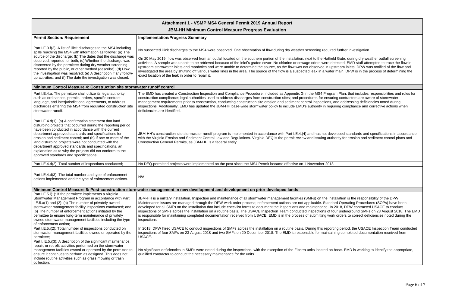**JBM-HH Minimum Control Measure Progress Evaluation**

| <b>Permit Section: Requirement</b>                                                                                                                                                                                                                                                                                                                                                                                                                                                                                                 | <b>Implementation/Progress Summary</b>                                                                                                                                                                                                                                                                                                                                                                                                                                                                                                                                                                                                                                                                                                                                                                                                                                                                         |
|------------------------------------------------------------------------------------------------------------------------------------------------------------------------------------------------------------------------------------------------------------------------------------------------------------------------------------------------------------------------------------------------------------------------------------------------------------------------------------------------------------------------------------|----------------------------------------------------------------------------------------------------------------------------------------------------------------------------------------------------------------------------------------------------------------------------------------------------------------------------------------------------------------------------------------------------------------------------------------------------------------------------------------------------------------------------------------------------------------------------------------------------------------------------------------------------------------------------------------------------------------------------------------------------------------------------------------------------------------------------------------------------------------------------------------------------------------|
| Part I.E.3.f(3): A list of illicit discharges to the MS4 including<br>spills reaching the MS4 with information as follows: (a) The<br>source of the discharge; (b) The dates that the discharge was<br>observed, reported, or both; (c) Whether the discharge was<br>discovered by the permittee during dry weather screening,<br>reported by the public, or other method (describe); (d) How<br>the investigation was resolved; (e) A description if any follow-<br>up activities; and (f) The date the investigation was closed. | No suspected illicit discharges to the MS4 were observed. One observation of flow during dry weather screening required further investigation.<br>On 20 May 2019, flow was observed from an outfall located on the southern portion of the Installation, next to the Hatfield Gate, during dry weather outfall screening<br>activities. A sample was unable to be retrieved because of the inlet's grated cover. No chlorine or sewage odors were detected. EMD staff attempted to trace the flow in<br>upstream stormwater inlets and manholes and were unable to determine the source, as the flow was not observed in upstream inlets. DPW was notified of the flow and<br>investigated the area by shutting off various water lines in the area. The source of the flow is a suspected leak in a water main. DPW is in the process of determining the<br>exact location of the leak in order to repair it. |
| Minimum Control Measure 4: Construction site stormwater runoff control                                                                                                                                                                                                                                                                                                                                                                                                                                                             |                                                                                                                                                                                                                                                                                                                                                                                                                                                                                                                                                                                                                                                                                                                                                                                                                                                                                                                |
| Part I.E.4.a: The permittee shall utilize its legal authority,<br>such as ordinances, permits, orders, specific contract<br>language, and interjurisdictional agreements, to address<br>discharges entering the MS4 from regulated construction site<br>stormwater runoff.                                                                                                                                                                                                                                                         | The EMD has created a Construction Inspection and Compliance Procedure, included as Appendix G in the MS4 Program Plan, that includes responsibilities and roles for<br>construction compliance; legal authorities used to address discharges from construction sites; and procedures for ensuring contractors are aware of stormwater<br>management requirements prior to construction, conducting construction site erosion and sediment control inspections, and addressing deficiencies noted during<br>inspections. Additionally, EMD has updated the JBM-HH base-wide stormwater policy to include EMD's authority in requiring compliance and corrective actions when<br>deficiencies are identified.                                                                                                                                                                                                   |
| Part I.E.4.d(1): (a) A confirmation statement that land<br>disturbing projects that occurred during the reporting period<br>have been conducted in accordance with the current<br>department approved standards and specifications for<br>erosion and sediment control; and (b) If one or more of the<br>land disturbing projects were not conducted with the<br>department approved standards and specifications, an<br>explanation as to why the projects did not conform to the<br>approved standards and specifications.       | JBM-HH's construction site stormwater runoff program is implemented in accordance with Part I.E.4.(4) and has not developed standards and specifications in accordance<br>with the Virginia Erosion and Sediment Control Law and Regulations. Virginia DEQ is the permit review and issuing authority for erosion and sediment control plans and<br>Construction General Permits, as JBM-HH is a federal entity.                                                                                                                                                                                                                                                                                                                                                                                                                                                                                               |
| Part I.E.4.d(2): Total number of inspections conducted;                                                                                                                                                                                                                                                                                                                                                                                                                                                                            | No DEQ-permitted projects were implemented on the post since the MS4 Permit became effective on 1 November 2018.                                                                                                                                                                                                                                                                                                                                                                                                                                                                                                                                                                                                                                                                                                                                                                                               |
| Part I.E.4.d(3): The total number and type of enforcement<br>actions implemented and the type of enforcement actions.                                                                                                                                                                                                                                                                                                                                                                                                              | N/A                                                                                                                                                                                                                                                                                                                                                                                                                                                                                                                                                                                                                                                                                                                                                                                                                                                                                                            |
|                                                                                                                                                                                                                                                                                                                                                                                                                                                                                                                                    | Minimum Control Measure 5: Post-construction stormwater management in new development and development on prior developed lands                                                                                                                                                                                                                                                                                                                                                                                                                                                                                                                                                                                                                                                                                                                                                                                 |
| Part I.E.5.i(1): If the permittee implements a Virginia<br>Stormwater Management Program in accordance with Part<br>$I.E.5.a(1)$ and (2): (a) The number of privately owned<br>stormwater management facility inspections conducted; and<br>(b) The number of enforcement actions initiated by the<br>permittee to ensure long-term maintenance of privately<br>owned stormwater management facilities including the type<br>of enforcement action;                                                                                | JBM-HH is a military installation. Inspection and maintenance of all stormwater management facilities (SMFs) on the Installation is the responsibility of the DPW.<br>Maintenance issues are managed through the DPW work order process; enforcement actions are not applicable. Standard Operating Procedures (SOPs) have been<br>developed for all SMFs on the Installation that include checklist forms to document the inspections and maintenance. In 2018, DPW contracted USACE to conduct<br>inspections of SMFs across the installation on a routine basis. The USACE Inspection Team conducted inspections of four underground SMFs on 23 August 2018. The EMD<br>is responsible for maintaining completed documentation received from USACE. EMD is in the process of submitting work orders to correct deficiencies noted during the<br>inspections.                                                |
| Part I.E.5.i(2): Total number of inspections conducted on<br>stormwater management facilities owned or operated by the<br>permittee;                                                                                                                                                                                                                                                                                                                                                                                               | In 2018, DPW hired USACE to conduct inspections of SMFs across the installation on a routine basis. During this reporting period, the USACE Inspection Team conducted<br>inspections of four SMFs on 23 August 2018 and two SMFs on 20 December 2018. The EMD is responsible for maintaining completed documentation received from<br>USACE.                                                                                                                                                                                                                                                                                                                                                                                                                                                                                                                                                                   |
| Part I. E.5.i(3): A description of the significant maintenance,<br>repair, or retrofit activities performed on the stormwater<br>management facilities owned or operated by the permittee to<br>ensure it continues to perform as designed. This does not<br>include routine activities such as grass mowing or trash<br>collection;                                                                                                                                                                                               | No significant deficiencies in SMFs were noted during the inspections, with the exception of the Filterra units located on base. EMD is working to identify the appropriate,<br>qualified contractor to conduct the necessary maintenance for the units.                                                                                                                                                                                                                                                                                                                                                                                                                                                                                                                                                                                                                                                       |

| ed further investigation.<br>Id Gate, during dry weather outfall screening<br>letected. EMD staff attempted to trace the flow in<br>ostream inlets. DPW was notified of the flow and<br>er main. DPW is in the process of determining the    |
|----------------------------------------------------------------------------------------------------------------------------------------------------------------------------------------------------------------------------------------------|
|                                                                                                                                                                                                                                              |
|                                                                                                                                                                                                                                              |
| am Plan, that includes responsibilities and roles for<br>ring contractors are aware of stormwater<br>and addressing deficiencies noted during<br>uiring compliance and corrective actions when                                               |
| veloped standards and specifications in accordance<br>hority for erosion and sediment control plans and                                                                                                                                      |
| 3.                                                                                                                                                                                                                                           |
|                                                                                                                                                                                                                                              |
|                                                                                                                                                                                                                                              |
| stallation is the responsibility of the DPW.<br>lard Operating Procedures (SOPs) have been<br>2018, DPW contracted USACE to conduct<br>our underground SMFs on 23 August 2018. The EMD<br>rk orders to correct deficiencies noted during the |
| ting period, the USACE Inspection Team conducted<br>ining completed documentation received from                                                                                                                                              |
| base. EMD is working to identify the appropriate,                                                                                                                                                                                            |